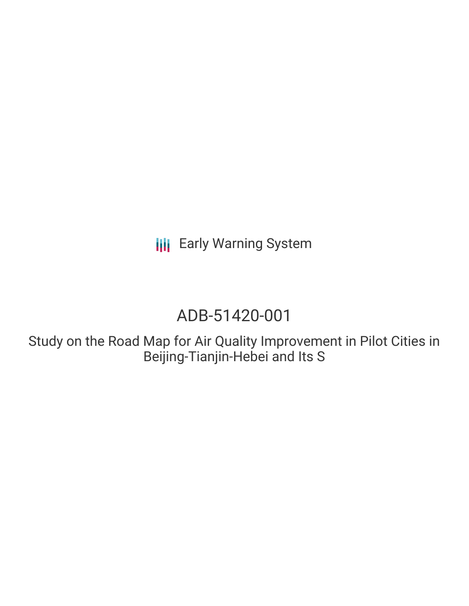**III** Early Warning System

# ADB-51420-001

Study on the Road Map for Air Quality Improvement in Pilot Cities in Beijing-Tianjin-Hebei and Its S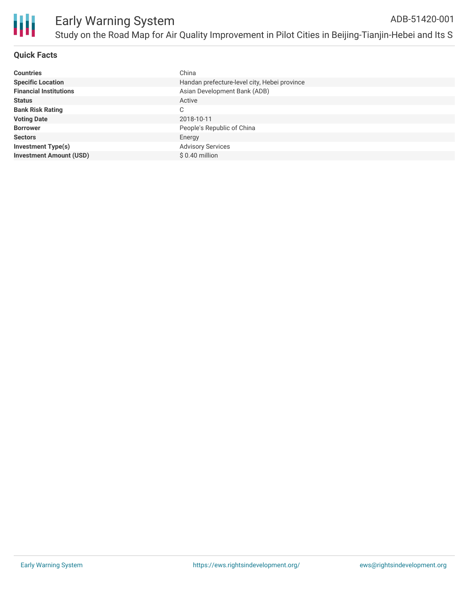

# **Quick Facts**

| <b>Countries</b>               | China                                        |
|--------------------------------|----------------------------------------------|
| <b>Specific Location</b>       | Handan prefecture-level city, Hebei province |
| <b>Financial Institutions</b>  | Asian Development Bank (ADB)                 |
| <b>Status</b>                  | Active                                       |
| <b>Bank Risk Rating</b>        | C                                            |
| <b>Voting Date</b>             | 2018-10-11                                   |
| <b>Borrower</b>                | People's Republic of China                   |
| <b>Sectors</b>                 | Energy                                       |
| <b>Investment Type(s)</b>      | <b>Advisory Services</b>                     |
| <b>Investment Amount (USD)</b> | $$0.40$ million                              |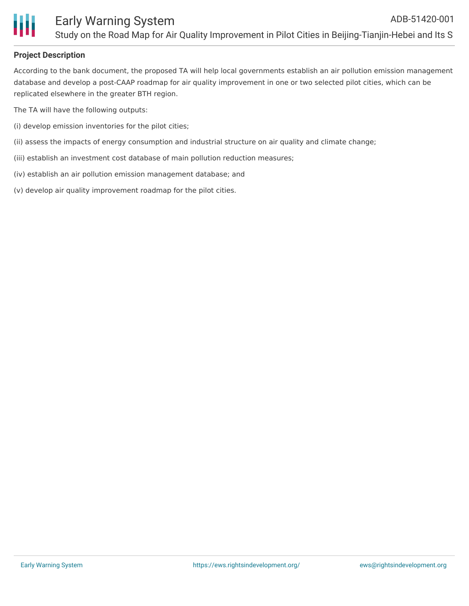

## **Project Description**

According to the bank document, the proposed TA will help local governments establish an air pollution emission management database and develop a post-CAAP roadmap for air quality improvement in one or two selected pilot cities, which can be replicated elsewhere in the greater BTH region.

The TA will have the following outputs:

- (i) develop emission inventories for the pilot cities;
- (ii) assess the impacts of energy consumption and industrial structure on air quality and climate change;
- (iii) establish an investment cost database of main pollution reduction measures;
- (iv) establish an air pollution emission management database; and
- (v) develop air quality improvement roadmap for the pilot cities.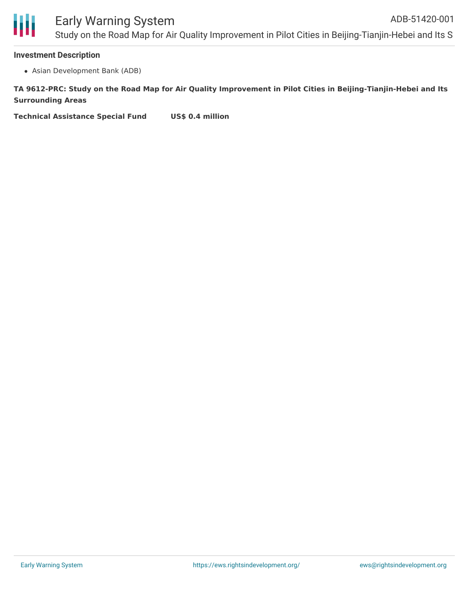#### **Investment Description**

Asian Development Bank (ADB)

# TA 9612-PRC: Study on the Road Map for Air Quality Improvement in Pilot Cities in Beijing-Tianjin-Hebei and Its **Surrounding Areas**

**Technical Assistance Special Fund US\$ 0.4 million**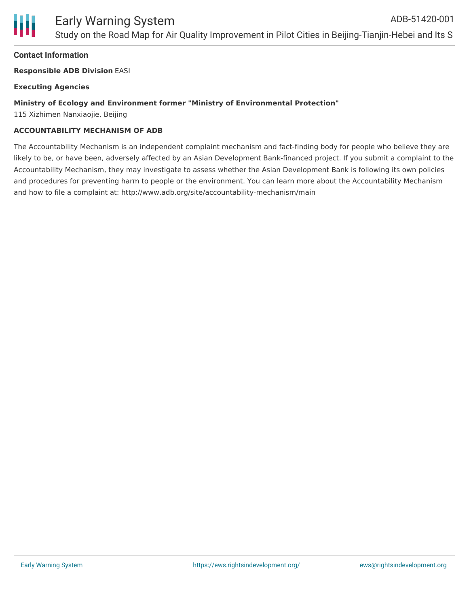## **Contact Information**

**Responsible ADB Division** EASI

#### **Executing Agencies**

#### **Ministry of Ecology and Environment former "Ministry of Environmental Protection"**

115 Xizhimen Nanxiaojie, Beijing

#### **ACCOUNTABILITY MECHANISM OF ADB**

The Accountability Mechanism is an independent complaint mechanism and fact-finding body for people who believe they are likely to be, or have been, adversely affected by an Asian Development Bank-financed project. If you submit a complaint to the Accountability Mechanism, they may investigate to assess whether the Asian Development Bank is following its own policies and procedures for preventing harm to people or the environment. You can learn more about the Accountability Mechanism and how to file a complaint at: http://www.adb.org/site/accountability-mechanism/main